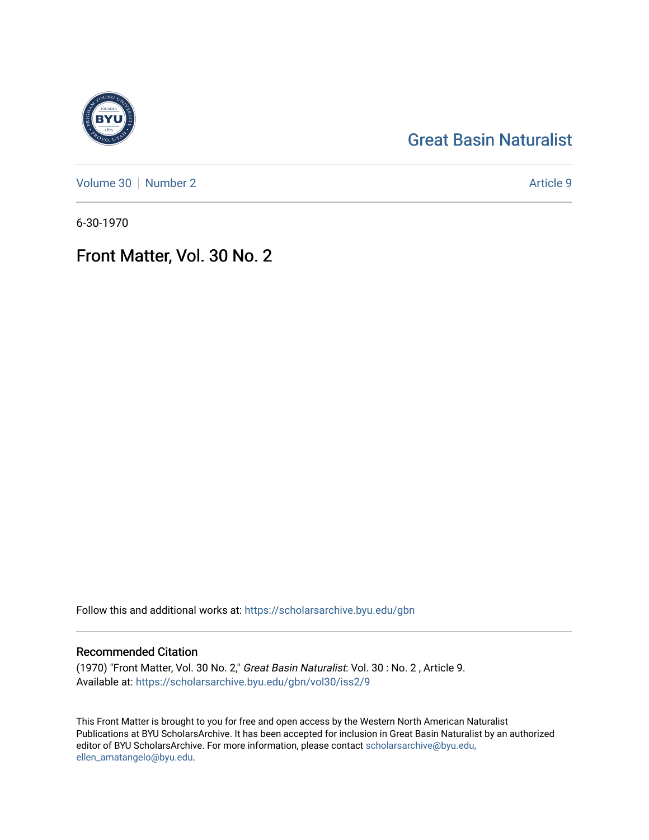## [Great Basin Naturalist](https://scholarsarchive.byu.edu/gbn)

[Volume 30](https://scholarsarchive.byu.edu/gbn/vol30) [Number 2](https://scholarsarchive.byu.edu/gbn/vol30/iss2) Article 9

6-30-1970

## Front Matter, Vol. 30 No. 2

Follow this and additional works at: [https://scholarsarchive.byu.edu/gbn](https://scholarsarchive.byu.edu/gbn?utm_source=scholarsarchive.byu.edu%2Fgbn%2Fvol30%2Fiss2%2F9&utm_medium=PDF&utm_campaign=PDFCoverPages) 

### Recommended Citation

(1970) "Front Matter, Vol. 30 No. 2," Great Basin Naturalist: Vol. 30 : No. 2 , Article 9. Available at: [https://scholarsarchive.byu.edu/gbn/vol30/iss2/9](https://scholarsarchive.byu.edu/gbn/vol30/iss2/9?utm_source=scholarsarchive.byu.edu%2Fgbn%2Fvol30%2Fiss2%2F9&utm_medium=PDF&utm_campaign=PDFCoverPages)

This Front Matter is brought to you for free and open access by the Western North American Naturalist Publications at BYU ScholarsArchive. It has been accepted for inclusion in Great Basin Naturalist by an authorized editor of BYU ScholarsArchive. For more information, please contact [scholarsarchive@byu.edu,](mailto:scholarsarchive@byu.edu,%20ellen_amatangelo@byu.edu) [ellen\\_amatangelo@byu.edu](mailto:scholarsarchive@byu.edu,%20ellen_amatangelo@byu.edu).

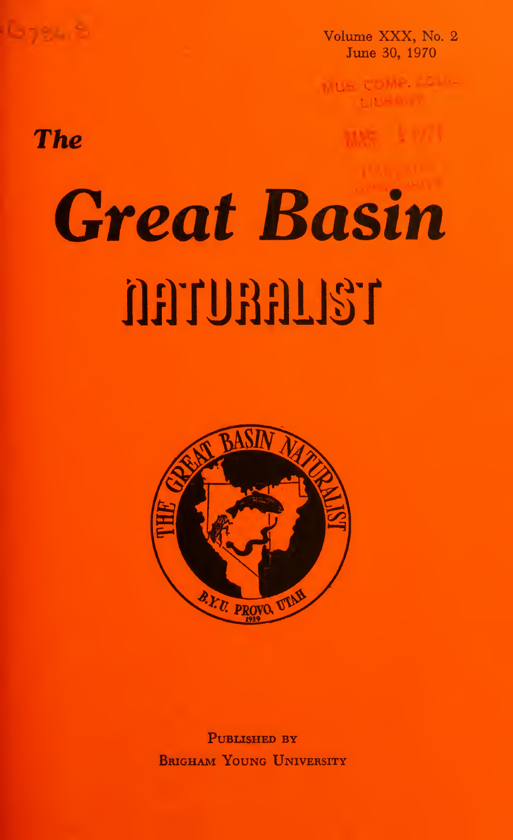

Volume XXX, No. 2 June 30, 1970

MUS COME.

# The

# Great Basin naunan 137



PUBLISHED BY Brigham Young University